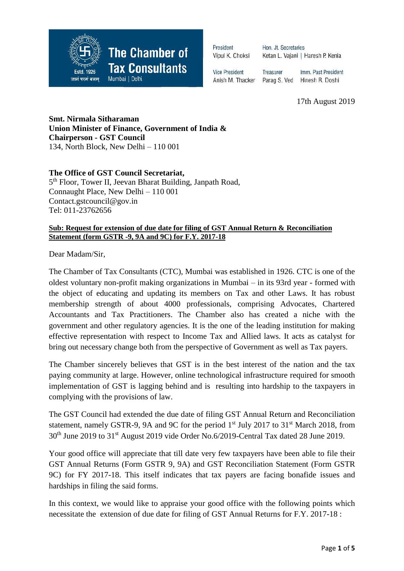

President Vipul K. Choksi Hon. Jt. Secretaries Ketan L. Vajani | Haresh P. Kenia

**Vice President** Anish M. Thacker

Treasurer Imm. Past President Parag S. Ved Hinesh R. Doshi

17th August 2019

**Smt. Nirmala Sitharaman Union Minister of Finance, Government of India & Chairperson - GST Council** 134, North Block, New Delhi – 110 001

**The Office of GST Council Secretariat,**

5<sup>th</sup> Floor, Tower II, Jeevan Bharat Building, Janpath Road, Connaught Place, New Delhi – 110 001 Contact.gstcouncil@gov.in Tel: 011-23762656

#### **Sub: Request for extension of due date for filing of GST Annual Return & Reconciliation Statement (form GSTR -9, 9A and 9C) for F.Y. 2017-18**

Dear Madam/Sir,

The Chamber of Tax Consultants (CTC), Mumbai was established in 1926. CTC is one of the oldest voluntary non-profit making organizations in Mumbai – in its 93rd year - formed with the object of educating and updating its members on Tax and other Laws. It has robust membership strength of about 4000 professionals, comprising Advocates, Chartered Accountants and Tax Practitioners. The Chamber also has created a niche with the government and other regulatory agencies. It is the one of the leading institution for making effective representation with respect to Income Tax and Allied laws. It acts as catalyst for bring out necessary change both from the perspective of Government as well as Tax payers.

The Chamber sincerely believes that GST is in the best interest of the nation and the tax paying community at large. However, online technological infrastructure required for smooth implementation of GST is lagging behind and is resulting into hardship to the taxpayers in complying with the provisions of law.

The GST Council had extended the due date of filing GST Annual Return and Reconciliation statement, namely GSTR-9, 9A and 9C for the period  $1<sup>st</sup>$  July 2017 to 31 $<sup>st</sup>$  March 2018, from</sup> 30th June 2019 to 31st August 2019 vide Order No.6/2019-Central Tax dated 28 June 2019.

Your good office will appreciate that till date very few taxpayers have been able to file their GST Annual Returns (Form GSTR 9, 9A) and GST Reconciliation Statement (Form GSTR 9C) for FY 2017-18. This itself indicates that tax payers are facing bonafide issues and hardships in filing the said forms.

In this context, we would like to appraise your good office with the following points which necessitate the extension of due date for filing of GST Annual Returns for F.Y. 2017-18 :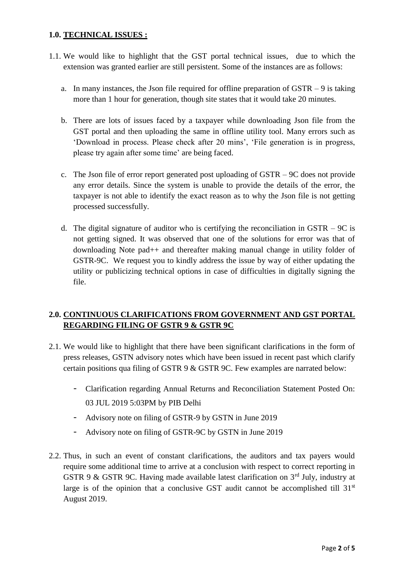## **1.0. TECHNICAL ISSUES :**

- 1.1. We would like to highlight that the GST portal technical issues, due to which the extension was granted earlier are still persistent. Some of the instances are as follows:
	- a. In many instances, the Json file required for offline preparation of  $GSTR 9$  is taking more than 1 hour for generation, though site states that it would take 20 minutes.
	- b. There are lots of issues faced by a taxpayer while downloading Json file from the GST portal and then uploading the same in offline utility tool. Many errors such as 'Download in process. Please check after 20 mins', 'File generation is in progress, please try again after some time' are being faced.
	- c. The Json file of error report generated post uploading of GSTR 9C does not provide any error details. Since the system is unable to provide the details of the error, the taxpayer is not able to identify the exact reason as to why the Json file is not getting processed successfully.
	- d. The digital signature of auditor who is certifying the reconciliation in GSTR  $-9C$  is not getting signed. It was observed that one of the solutions for error was that of downloading Note pad++ and thereafter making manual change in utility folder of GSTR-9C. We request you to kindly address the issue by way of either updating the utility or publicizing technical options in case of difficulties in digitally signing the file.

# **2.0. CONTINUOUS CLARIFICATIONS FROM GOVERNMENT AND GST PORTAL REGARDING FILING OF GSTR 9 & GSTR 9C**

- 2.1. We would like to highlight that there have been significant clarifications in the form of press releases, GSTN advisory notes which have been issued in recent past which clarify certain positions qua filing of GSTR 9 & GSTR 9C. Few examples are narrated below:
	- Clarification regarding Annual Returns and Reconciliation Statement Posted On: 03 JUL 2019 5:03PM by PIB Delhi
	- Advisory note on filing of GSTR-9 by GSTN in June 2019
	- Advisory note on filing of GSTR-9C by GSTN in June 2019
- 2.2. Thus, in such an event of constant clarifications, the auditors and tax payers would require some additional time to arrive at a conclusion with respect to correct reporting in GSTR 9 & GSTR 9C. Having made available latest clarification on  $3<sup>rd</sup>$  July, industry at large is of the opinion that a conclusive GST audit cannot be accomplished till  $31<sup>st</sup>$ August 2019.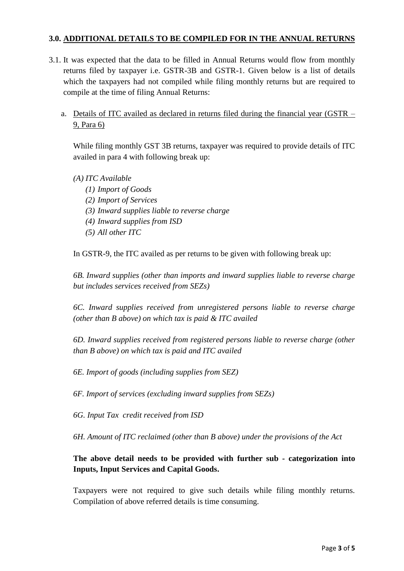## **3.0. ADDITIONAL DETAILS TO BE COMPILED FOR IN THE ANNUAL RETURNS**

- 3.1. It was expected that the data to be filled in Annual Returns would flow from monthly returns filed by taxpayer i.e. GSTR-3B and GSTR-1. Given below is a list of details which the taxpayers had not compiled while filing monthly returns but are required to compile at the time of filing Annual Returns:
	- a. Details of ITC availed as declared in returns filed during the financial year (GSTR 9, Para 6)

While filing monthly GST 3B returns, taxpayer was required to provide details of ITC availed in para 4 with following break up:

- *(A) ITC Available*
	- *(1) Import of Goods (2) Import of Services (3) Inward supplies liable to reverse charge (4) Inward supplies from ISD (5) All other ITC*

In GSTR-9, the ITC availed as per returns to be given with following break up:

*6B. Inward supplies (other than imports and inward supplies liable to reverse charge but includes services received from SEZs)*

*6C. Inward supplies received from unregistered persons liable to reverse charge (other than B above) on which tax is paid & ITC availed*

*6D. Inward supplies received from registered persons liable to reverse charge (other than B above) on which tax is paid and ITC availed*

*6E. Import of goods (including supplies from SEZ)*

*6F. Import of services (excluding inward supplies from SEZs)*

*6G. Input Tax credit received from ISD*

*6H. Amount of ITC reclaimed (other than B above) under the provisions of the Act*

**The above detail needs to be provided with further sub - categorization into Inputs, Input Services and Capital Goods.**

Taxpayers were not required to give such details while filing monthly returns. Compilation of above referred details is time consuming.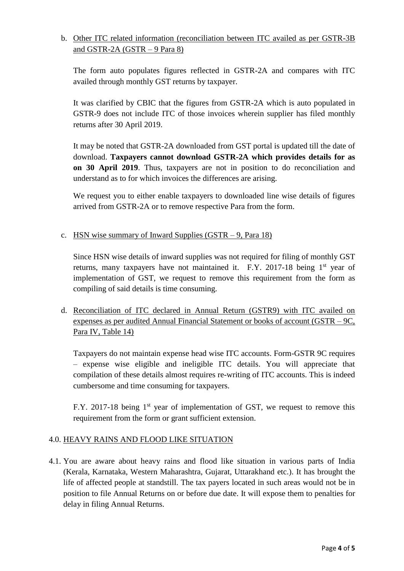# b. Other ITC related information (reconciliation between ITC availed as per GSTR-3B and GSTR-2A (GSTR – 9 Para 8)

The form auto populates figures reflected in GSTR-2A and compares with ITC availed through monthly GST returns by taxpayer.

It was clarified by CBIC that the figures from GSTR-2A which is auto populated in GSTR-9 does not include ITC of those invoices wherein supplier has filed monthly returns after 30 April 2019.

It may be noted that GSTR-2A downloaded from GST portal is updated till the date of download. **Taxpayers cannot download GSTR-2A which provides details for as on 30 April 2019**. Thus, taxpayers are not in position to do reconciliation and understand as to for which invoices the differences are arising.

We request you to either enable taxpayers to downloaded line wise details of figures arrived from GSTR-2A or to remove respective Para from the form.

c. HSN wise summary of Inward Supplies (GSTR – 9, Para 18)

Since HSN wise details of inward supplies was not required for filing of monthly GST returns, many taxpayers have not maintained it. F.Y. 2017-18 being  $1<sup>st</sup>$  year of implementation of GST, we request to remove this requirement from the form as compiling of said details is time consuming.

d. Reconciliation of ITC declared in Annual Return (GSTR9) with ITC availed on expenses as per audited Annual Financial Statement or books of account (GSTR – 9C, Para IV, Table 14)

Taxpayers do not maintain expense head wise ITC accounts. Form-GSTR 9C requires – expense wise eligible and ineligible ITC details. You will appreciate that compilation of these details almost requires re-writing of ITC accounts. This is indeed cumbersome and time consuming for taxpayers.

F.Y. 2017-18 being  $1<sup>st</sup>$  year of implementation of GST, we request to remove this requirement from the form or grant sufficient extension.

## 4.0. HEAVY RAINS AND FLOOD LIKE SITUATION

4.1. You are aware about heavy rains and flood like situation in various parts of India (Kerala, Karnataka, Western Maharashtra, Gujarat, Uttarakhand etc.). It has brought the life of affected people at standstill. The tax payers located in such areas would not be in position to file Annual Returns on or before due date. It will expose them to penalties for delay in filing Annual Returns.